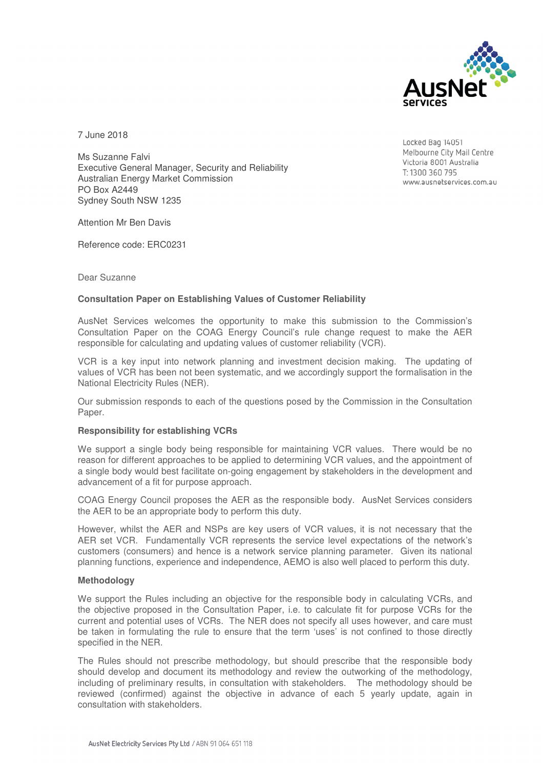

7 June 2018

Ms Suzanne Falvi Executive General Manager, Security and Reliability Australian Energy Market Commission PO Box A2449 Sydney South NSW 1235

Locked Bag 14051 Melbourne City Mail Centre Victoria 8001 Australia T: 1300 360 795 www.ausnetservices.com.au

Attention Mr Ben Davis

Reference code: ERC0231

# Dear Suzanne

# **Consultation Paper on Establishing Values of Customer Reliability**

AusNet Services welcomes the opportunity to make this submission to the Commission's Consultation Paper on the COAG Energy Council's rule change request to make the AER responsible for calculating and updating values of customer reliability (VCR).

VCR is a key input into network planning and investment decision making. The updating of values of VCR has been not been systematic, and we accordingly support the formalisation in the National Electricity Rules (NER).

Our submission responds to each of the questions posed by the Commission in the Consultation Paper.

# **Responsibility for establishing VCRs**

We support a single body being responsible for maintaining VCR values. There would be no reason for different approaches to be applied to determining VCR values, and the appointment of a single body would best facilitate on-going engagement by stakeholders in the development and advancement of a fit for purpose approach.

COAG Energy Council proposes the AER as the responsible body. AusNet Services considers the AER to be an appropriate body to perform this duty.

However, whilst the AER and NSPs are key users of VCR values, it is not necessary that the AER set VCR. Fundamentally VCR represents the service level expectations of the network's customers (consumers) and hence is a network service planning parameter. Given its national planning functions, experience and independence, AEMO is also well placed to perform this duty.

# **Methodology**

We support the Rules including an objective for the responsible body in calculating VCRs, and the objective proposed in the Consultation Paper, i.e. to calculate fit for purpose VCRs for the current and potential uses of VCRs. The NER does not specify all uses however, and care must be taken in formulating the rule to ensure that the term 'uses' is not confined to those directly specified in the NER.

The Rules should not prescribe methodology, but should prescribe that the responsible body should develop and document its methodology and review the outworking of the methodology, including of preliminary results, in consultation with stakeholders. The methodology should be reviewed (confirmed) against the objective in advance of each 5 yearly update, again in consultation with stakeholders.